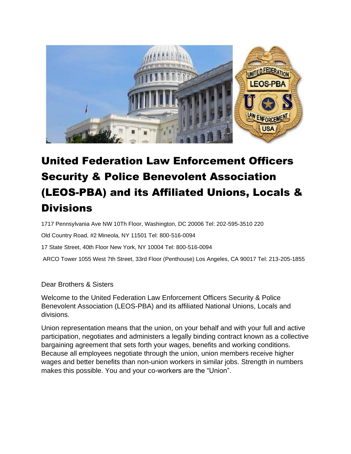

# United Federation Law Enforcement Officers Security & Police Benevolent Association (LEOS-PBA) and its Affiliated Unions, Locals & **Divisions**

1717 Pennsylvania Ave NW 10Th Floor, Washington, DC 20006 Tel: 202-595-3510 220

Old Country Road, #2 Mineola, NY 11501 Tel: 800-516-0094

17 State Street, 40th Floor New York, NY 10004 Tel: 800-516-0094

ARCO Tower 1055 West 7th Street, 33rd Floor (Penthouse) Los Angeles, CA 90017 Tel: 213-205-1855

Dear Brothers & Sisters

Welcome to the United Federation Law Enforcement Officers Security & Police Benevolent Association (LEOS-PBA) and its affiliated National Unions, Locals and divisions.

Union representation means that the union, on your behalf and with your full and active participation, negotiates and administers a legally binding contract known as a collective bargaining agreement that sets forth your wages, benefits and working conditions. Because all employees negotiate through the union, union members receive higher wages and better benefits than non-union workers in similar jobs. Strength in numbers makes this possible. You and your co-workers are the "Union".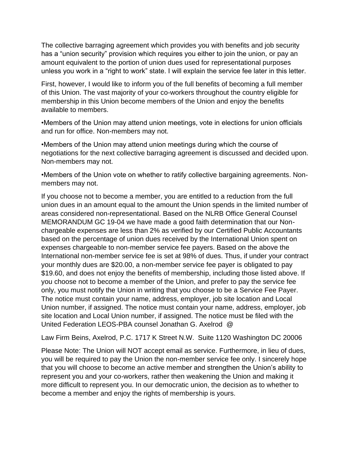The collective barraging agreement which provides you with benefits and job security has a "union security" provision which requires you either to join the union, or pay an amount equivalent to the portion of union dues used for representational purposes unless you work in a "right to work" state. I will explain the service fee later in this letter.

First, however, I would like to inform you of the full benefits of becoming a full member of this Union. The vast majority of your co-workers throughout the country eligible for membership in this Union become members of the Union and enjoy the benefits available to members.

•Members of the Union may attend union meetings, vote in elections for union officials and run for office. Non-members may not.

•Members of the Union may attend union meetings during which the course of negotiations for the next collective barraging agreement is discussed and decided upon. Non-members may not.

•Members of the Union vote on whether to ratify collective bargaining agreements. Nonmembers may not.

If you choose not to become a member, you are entitled to a reduction from the full union dues in an amount equal to the amount the Union spends in the limited number of areas considered non-representational. Based on the NLRB Office General Counsel MEMORANDUM GC 19-04 we have made a good faith determination that our Nonchargeable expenses are less than 2% as verified by our Certified Public Accountants based on the percentage of union dues received by the International Union spent on expenses chargeable to non-member service fee payers. Based on the above the International non-member service fee is set at 98% of dues. Thus, if under your contract your monthly dues are \$20.00, a non-member service fee payer is obligated to pay \$19.60, and does not enjoy the benefits of membership, including those listed above. If you choose not to become a member of the Union, and prefer to pay the service fee only, you must notify the Union in writing that you choose to be a Service Fee Payer. The notice must contain your name, address, employer, job site location and Local Union number, if assigned. The notice must contain your name, address, employer, job site location and Local Union number, if assigned. The notice must be filed with the United Federation LEOS-PBA counsel Jonathan G. Axelrod @

Law Firm Beins, Axelrod, P.C. 1717 K Street N.W. Suite 1120 Washington DC 20006

Please Note: The Union will NOT accept email as service. Furthermore, in lieu of dues, you will be required to pay the Union the non-member service fee only. I sincerely hope that you will choose to become an active member and strengthen the Union's ability to represent you and your co-workers, rather then weakening the Union and making it more difficult to represent you. In our democratic union, the decision as to whether to become a member and enjoy the rights of membership is yours.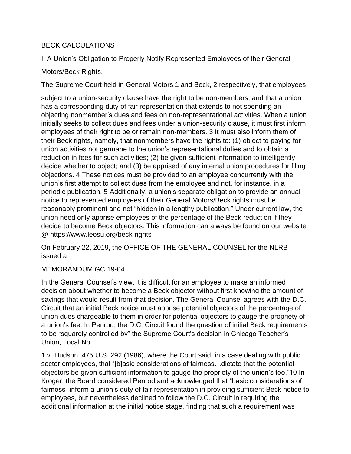## BECK CALCULATIONS

I. A Union's Obligation to Properly Notify Represented Employees of their General

## Motors/Beck Rights.

The Supreme Court held in General Motors 1 and Beck, 2 respectively, that employees

subject to a union-security clause have the right to be non-members, and that a union has a corresponding duty of fair representation that extends to not spending an objecting nonmember's dues and fees on non-representational activities. When a union initially seeks to collect dues and fees under a union-security clause, it must first inform employees of their right to be or remain non-members. 3 It must also inform them of their Beck rights, namely, that nonmembers have the rights to: (1) object to paying for union activities not germane to the union's representational duties and to obtain a reduction in fees for such activities; (2) be given sufficient information to intelligently decide whether to object; and (3) be apprised of any internal union procedures for filing objections. 4 These notices must be provided to an employee concurrently with the union's first attempt to collect dues from the employee and not, for instance, in a periodic publication. 5 Additionally, a union's separate obligation to provide an annual notice to represented employees of their General Motors/Beck rights must be reasonably prominent and not "hidden in a lengthy publication." Under current law, the union need only apprise employees of the percentage of the Beck reduction if they decide to become Beck objectors. This information can always be found on our website @ https://www.leosu.org/beck-rights

On February 22, 2019, the OFFICE OF THE GENERAL COUNSEL for the NLRB issued a

## MEMORANDUM GC 19-04

In the General Counsel's view, it is difficult for an employee to make an informed decision about whether to become a Beck objector without first knowing the amount of savings that would result from that decision. The General Counsel agrees with the D.C. Circuit that an initial Beck notice must apprise potential objectors of the percentage of union dues chargeable to them in order for potential objectors to gauge the propriety of a union's fee. In Penrod, the D.C. Circuit found the question of initial Beck requirements to be "squarely controlled by" the Supreme Court's decision in Chicago Teacher's Union, Local No.

1 v. Hudson, 475 U.S. 292 (1986), where the Court said, in a case dealing with public sector employees, that "[b]asic considerations of fairness…dictate that the potential objectors be given sufficient information to gauge the propriety of the union's fee."10 In Kroger, the Board considered Penrod and acknowledged that "basic considerations of fairness" inform a union's duty of fair representation in providing sufficient Beck notice to employees, but nevertheless declined to follow the D.C. Circuit in requiring the additional information at the initial notice stage, finding that such a requirement was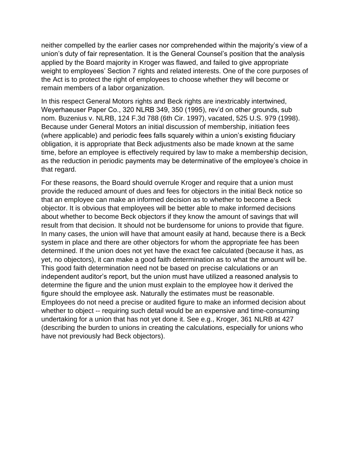neither compelled by the earlier cases nor comprehended within the majority's view of a union's duty of fair representation. It is the General Counsel's position that the analysis applied by the Board majority in Kroger was flawed, and failed to give appropriate weight to employees' Section 7 rights and related interests. One of the core purposes of the Act is to protect the right of employees to choose whether they will become or remain members of a labor organization.

In this respect General Motors rights and Beck rights are inextricably intertwined, Weyerhaeuser Paper Co., 320 NLRB 349, 350 (1995), rev'd on other grounds, sub nom. Buzenius v. NLRB, 124 F.3d 788 (6th Cir. 1997), vacated, 525 U.S. 979 (1998). Because under General Motors an initial discussion of membership, initiation fees (where applicable) and periodic fees falls squarely within a union's existing fiduciary obligation, it is appropriate that Beck adjustments also be made known at the same time, before an employee is effectively required by law to make a membership decision, as the reduction in periodic payments may be determinative of the employee's choice in that regard.

For these reasons, the Board should overrule Kroger and require that a union must provide the reduced amount of dues and fees for objectors in the initial Beck notice so that an employee can make an informed decision as to whether to become a Beck objector. It is obvious that employees will be better able to make informed decisions about whether to become Beck objectors if they know the amount of savings that will result from that decision. It should not be burdensome for unions to provide that figure. In many cases, the union will have that amount easily at hand, because there is a Beck system in place and there are other objectors for whom the appropriate fee has been determined. If the union does not yet have the exact fee calculated (because it has, as yet, no objectors), it can make a good faith determination as to what the amount will be. This good faith determination need not be based on precise calculations or an independent auditor's report, but the union must have utilized a reasoned analysis to determine the figure and the union must explain to the employee how it derived the figure should the employee ask. Naturally the estimates must be reasonable. Employees do not need a precise or audited figure to make an informed decision about whether to object -- requiring such detail would be an expensive and time-consuming undertaking for a union that has not yet done it. See e.g., Kroger, 361 NLRB at 427 (describing the burden to unions in creating the calculations, especially for unions who have not previously had Beck objectors).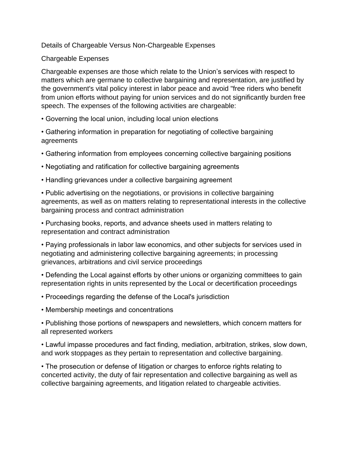#### Details of Chargeable Versus Non-Chargeable Expenses

#### Chargeable Expenses

Chargeable expenses are those which relate to the Union's services with respect to matters which are germane to collective bargaining and representation, are justified by the government's vital policy interest in labor peace and avoid "free riders who benefit from union efforts without paying for union services and do not significantly burden free speech. The expenses of the following activities are chargeable:

- Governing the local union, including local union elections
- Gathering information in preparation for negotiating of collective bargaining agreements
- Gathering information from employees concerning collective bargaining positions
- Negotiating and ratification for collective bargaining agreements
- Handling grievances under a collective bargaining agreement

• Public advertising on the negotiations, or provisions in collective bargaining agreements, as well as on matters relating to representational interests in the collective bargaining process and contract administration

• Purchasing books, reports, and advance sheets used in matters relating to representation and contract administration

• Paying professionals in labor law economics, and other subjects for services used in negotiating and administering collective bargaining agreements; in processing grievances, arbitrations and civil service proceedings

• Defending the Local against efforts by other unions or organizing committees to gain representation rights in units represented by the Local or decertification proceedings

- Proceedings regarding the defense of the Local's jurisdiction
- Membership meetings and concentrations

• Publishing those portions of newspapers and newsletters, which concern matters for all represented workers

• Lawful impasse procedures and fact finding, mediation, arbitration, strikes, slow down, and work stoppages as they pertain to representation and collective bargaining.

• The prosecution or defense of litigation or charges to enforce rights relating to concerted activity, the duty of fair representation and collective bargaining as well as collective bargaining agreements, and litigation related to chargeable activities.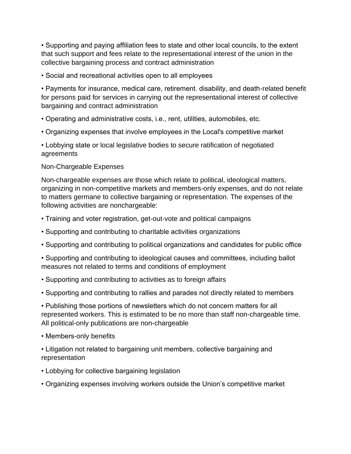• Supporting and paying affiliation fees to state and other local councils, to the extent that such support and fees relate to the representational interest of the union in the collective bargaining process and contract administration

• Social and recreational activities open to all employees

• Payments for insurance, medical care, retirement. disability, and death-related benefit for persons paid for services in carrying out the representational interest of collective bargaining and contract administration

- Operating and administrative costs, i.e., rent, utilities, automobiles, etc.
- Organizing expenses that involve employees in the Local's competitive market

• Lobbying state or local legislative bodies to secure ratification of negotiated agreements

## Non-Chargeable Expenses

Non-chargeable expenses are those which relate to political, ideological matters, organizing in non-competitive markets and members-only expenses, and do not relate to matters germane to collective bargaining or representation. The expenses of the following activities are nonchargeable:

- Training and voter registration, get-out-vote and political campaigns
- Supporting and contributing to charitable activities organizations
- Supporting and contributing to political organizations and candidates for public office

• Supporting and contributing to ideological causes and committees, including ballot measures not related to terms and conditions of employment

- Supporting and contributing to activities as to foreign affairs
- Supporting and contributing to rallies and parades not directly related to members

• Publishing those portions of newsletters which do not concern matters for all represented workers. This is estimated to be no more than staff non-chargeable time. All political-only publications are non-chargeable

- Members-only benefits
- Litigation not related to bargaining unit members, collective bargaining and representation
- Lobbying for collective bargaining legislation
- Organizing expenses involving workers outside the Union's competitive market